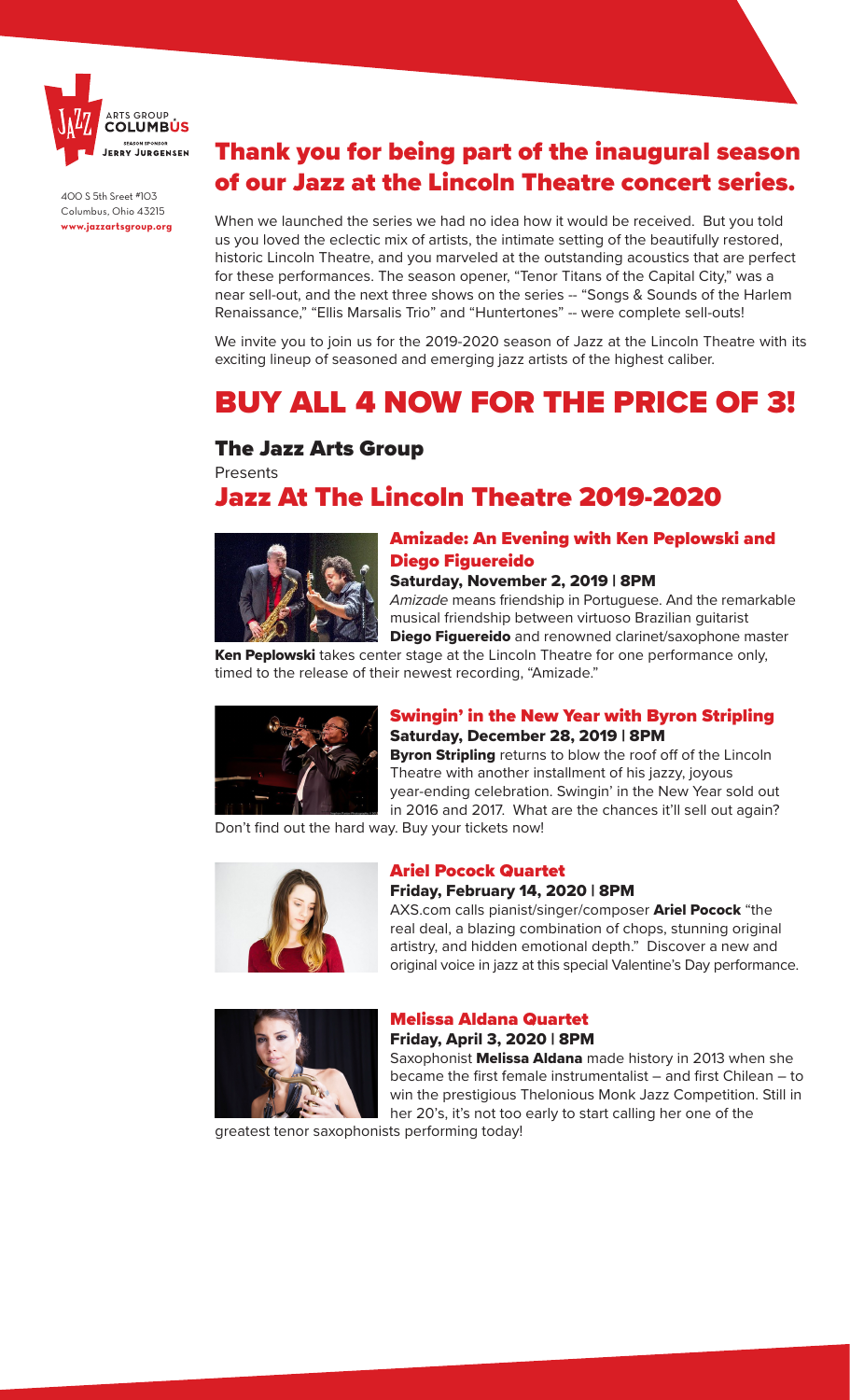

400 S 5th Sreet #103 Columbus, Ohio 43215 **www.jazzartsgroup.org**

## Thank you for being part of the inaugural season of our Jazz at the Lincoln Theatre concert series.

When we launched the series we had no idea how it would be received. But you told us you loved the eclectic mix of artists, the intimate setting of the beautifully restored, historic Lincoln Theatre, and you marveled at the outstanding acoustics that are perfect for these performances. The season opener, "Tenor Titans of the Capital City," was a near sell-out, and the next three shows on the series -- "Songs & Sounds of the Harlem Renaissance," "Ellis Marsalis Trio" and "Huntertones" -- were complete sell-outs!

We invite you to join us for the 2019-2020 season of Jazz at the Lincoln Theatre with its exciting lineup of seasoned and emerging jazz artists of the highest caliber.

# BUY ALL 4 NOW FOR THE PRICE OF 3!

### The Jazz Arts Group

**Presents** 

## Jazz At The Lincoln Theatre 2019-2020



### Amizade: An Evening with Ken Peplowski and Diego Figuereido

#### Saturday, November 2, 2019 | 8PM

*Amizade* means friendship in Portuguese. And the remarkable musical friendship between virtuoso Brazilian guitarist Diego Figuereido and renowned clarinet/saxophone master

Ken Peplowski takes center stage at the Lincoln Theatre for one performance only, timed to the release of their newest recording, "Amizade."



### Swingin' in the New Year with Byron Stripling Saturday, December 28, 2019 | 8PM

**Byron Stripling** returns to blow the roof off of the Lincoln Theatre with another installment of his jazzy, joyous year-ending celebration. Swingin' in the New Year sold out in 2016 and 2017. What are the chances it'll sell out again?

Don't find out the hard way. Buy your tickets now!



#### Ariel Pocock Quartet

#### Friday, February 14, 2020 | 8PM

AXS.com calls pianist/singer/composer Ariel Pocock "the real deal, a blazing combination of chops, stunning original artistry, and hidden emotional depth." Discover a new and original voice in jazz at this special Valentine's Day performance.



### Melissa Aldana Quartet

Friday, April 3, 2020 | 8PM

Saxophonist Melissa Aldana made history in 2013 when she became the first female instrumentalist – and first Chilean – to win the prestigious Thelonious Monk Jazz Competition. Still in her 20's, it's not too early to start calling her one of the

greatest tenor saxophonists performing today!